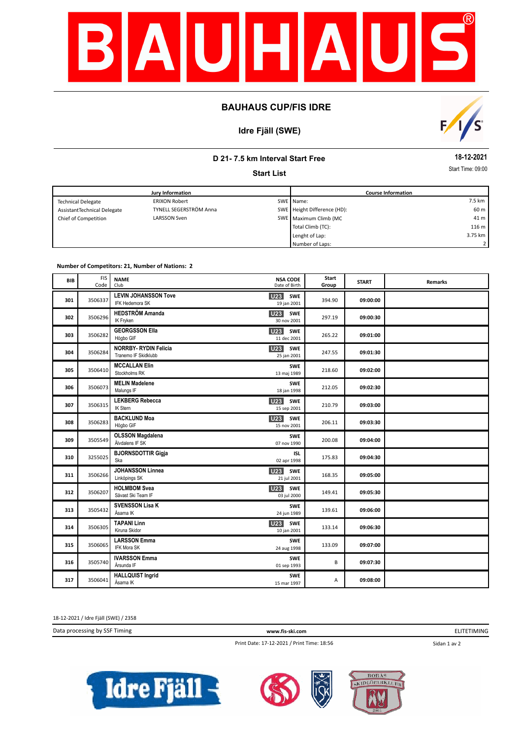

## **BAUHAUS CUP/FIS IDRE**

# **Idre Fjäll (SWE)**



## **D 21- 7.5 km Interval Start Free**

**Start List**

**18-12-2021**

Start Time: 09:00

| <b>Jury Information</b>     |                        |  | <b>Course Information</b>   |         |  |
|-----------------------------|------------------------|--|-----------------------------|---------|--|
| <b>Technical Delegate</b>   | <b>ERIXON Robert</b>   |  | SWE Name:                   | 7.5 km  |  |
| AssistantTechnical Delegate | TYNELL SEGERSTRÖM Anna |  | SWE Height Difference (HD): | 60 m    |  |
| Chief of Competition        | <b>LARSSON Sven</b>    |  | SWE Maximum Climb (MC       | 41 m    |  |
|                             |                        |  | Total Climb (TC):           | 116 m   |  |
|                             |                        |  | Lenght of Lap:              | 3.75 km |  |
|                             |                        |  | Number of Laps:             |         |  |

#### **Number of Competitors: 21, Number of Nations: 2**

| <b>BIB</b> | <b>FIS</b><br>Code | <b>NAME</b><br>Club                                  | <b>NSA CODE</b><br>Date of Birth        | Start<br>Group | <b>START</b> | <b>Remarks</b> |
|------------|--------------------|------------------------------------------------------|-----------------------------------------|----------------|--------------|----------------|
| 301        | 3506337            | <b>LEVIN JOHANSSON Tove</b><br>IFK Hedemora SK       | <b>U23</b><br><b>SWE</b><br>19 jan 2001 | 394.90         | 09:00:00     |                |
| 302        | 3506296            | <b>HEDSTRÖM Amanda</b><br>IK Fryken                  | <b>SWE</b><br><b>U23</b><br>30 nov 2001 | 297.19         | 09:00:30     |                |
| 303        | 3506282            | <b>GEORGSSON Ella</b><br>Högbo GIF                   | U23<br>SWE<br>11 dec 2001               | 265.22         | 09:01:00     |                |
| 304        | 3506284            | <b>NORRBY- RYDIN Felicia</b><br>Tranemo IF Skidklubb | U23<br><b>SWE</b><br>25 jan 2001        | 247.55         | 09:01:30     |                |
| 305        | 3506410            | <b>MCCALLAN Elin</b><br>Stockholms RK                | <b>SWE</b><br>13 maj 1989               | 218.60         | 09:02:00     |                |
| 306        | 3506073            | <b>MELIN Madelene</b><br>Malungs IF                  | <b>SWE</b><br>18 jan 1998               | 212.05         | 09:02:30     |                |
| 307        | 3506315            | <b>LEKBERG Rebecca</b><br>IK Stern                   | U23<br><b>SWE</b><br>15 sep 2001        | 210.79         | 09:03:00     |                |
| 308        | 3506283            | <b>BACKLUND Moa</b><br>Högbo GIF                     | <b>U23</b><br>SWE<br>15 nov 2001        | 206.11         | 09:03:30     |                |
| 309        | 3505549            | <b>OLSSON Magdalena</b><br>Älvdalens IF SK           | <b>SWE</b><br>07 nov 1990               | 200.08         | 09:04:00     |                |
| 310        | 3255025            | <b>BJORNSDOTTIR Gigja</b><br>Ska                     | <b>ISL</b><br>02 apr 1998               | 175.83         | 09:04:30     |                |
| 311        | 3506266            | <b>JOHANSSON Linnea</b><br>Linköpings SK             | U23<br>SWE<br>21 jul 2001               | 168.35         | 09:05:00     |                |
| 312        | 3506207            | <b>HOLMBOM Svea</b><br>Sävast Ski Team IF            | U <sub>23</sub><br>SWE<br>03 jul 2000   | 149.41         | 09:05:30     |                |
| 313        | 3505432            | <b>SVENSSON Lisa K</b><br>Åsarna IK                  | <b>SWE</b><br>24 jun 1989               | 139.61         | 09:06:00     |                |
| 314        | 3506305            | <b>TAPANI Linn</b><br>Kiruna Skidor                  | <b>U23</b><br><b>SWE</b><br>10 jan 2001 | 133.14         | 09:06:30     |                |
| 315        | 3506065            | <b>LARSSON Emma</b><br>IFK Mora SK                   | <b>SWE</b><br>24 aug 1998               | 133.09         | 09:07:00     |                |
| 316        | 3505740            | <b>IVARSSON Emma</b><br>Årsunda IF                   | SWE<br>01 sep 1993                      | B              | 09:07:30     |                |
| 317        | 3506041            | <b>HALLQUIST Ingrid</b><br>Åsarna IK                 | <b>SWE</b><br>15 mar 1997               | Α              | 09:08:00     |                |

18-12-2021 / Idre Fjäll (SWE) / 2358

Data processing by SSF Timing **www.fis-ski.com**

ELITETIMING

Print Date: 17-12-2021 / Print Time: 18:56

Sidan 1 av 2